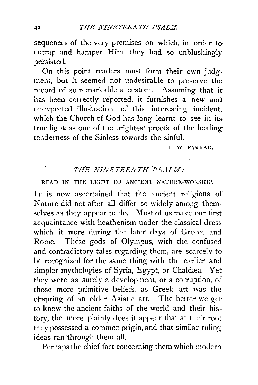sequences of the very premises on which, in order to entrap and hamper  $\overline{H}$ im, they had so unblushingly persisted.

On this point readers must form their own judgment, but it seemed not undesirable to preserve the record of so remarkable a custom. Assuming that it has been correctly reported, it furnishes a new and unexpected illustration of this interesting incident, which the Church of God has long learnt to see in its true light, as one of the brightest proofs of the healing tenderness of the Sinless towards the sinful.

F. W. FARRAR.

## *THE NINETEENTH PSALM:*

READ IN THE LIGHT OF ANCIENT NATURE-WORSHIP.

IT is now ascertained that the ancient religions of Nature did not after all differ so widely among themselves as they appear to do. Most of us make our first acquaintance with heathenism under the classical dress which 'it wore during the later days of Greece and Rome. These gods of Olympus, with the confused and contradictory tales regarding them, are scarcely to be recognized for the same thing with the earlier and simpler mythologies of Syria, Egypt, or Chaldæa. Yet they were as surely a development, or a corruption, of those more primitive beliefs, as Greek art was the offspring of an older Asiatic. art. The better we get to know the ancient faiths of the world and their history, the more plainly does it appear that at their root they possessed a common prigin, and that similar ruling ideas ran through them all.

Perhaps the chief fact concerning them which modem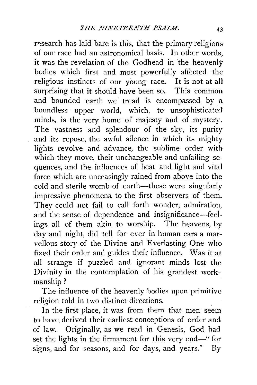research has laid bare is this, that the primary religions of our race had an astronomical basis. In other words, it was the revelation of the Godhead in the heavenly bodies which first and most powerfully affected the religious instincts of our young race. It is not at all surprising that it should have been so. This common and bounded earth we tread is encompassed by a boundless upper world, which, to unsophisticated minds, is the very home of majesty and of mystery. The vastness and splendour of the sky, its purity and its repose, the awful silence in which its mighty lights revolve and advance, the sublime order with which they move, their unchangeable and unfailing sequences, and the influences of heat and light and vital force which are unceasingly rained from above into the cold and sterile womb of earth-these were singularly impressive phenomena to the first observers of them. They could not fail to call forth wonder; admiration, and the sense of dependence and insignificance-feelings all of them akin to worship. The heavens, by day and night, did tell for ever in human ears a marvellous story of the Divine and Everlasting One who fixed their order and guides their influence. Was it at all strange if puzzled and ignorant minds lost the Divinity in the contemplation of his grandest workmanship?

The influence of the heavenly bodies upon primitive religion told in two distinct directions.

In the first place, it was from them that men seem to have derived their earliest conceptions of order and of law. Originally, as we read in Genesis, God had set the lights in the firmament for this very end-" for signs, and for seasons, and for days, and years." By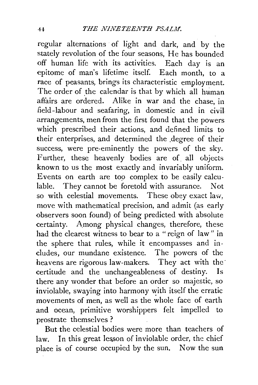regular alternations of light and dark, and by the stately revolution of the four seasons, He has bounded off human life with its activities. Each day is an epitome of man's lifetime itself. Each month, to a race of peasants, brings its characteristic employment. The order of the calendar is that by which all human affairs are ordered. Alike in war and the chase, in field-labour and seafaring, in domestic and in civilarrangements, men from the first found that the powers which prescribed their actions, and defined limits to their enterprises, and determined the ,degree of their success, were pre-eminently the powers of the sky. Further, these heavenly bodies are of all objects known to us the most exactly and invariably uniform. Events on earth are too complex to be easily calculable. They cannot be foretold with assurance. Not so with celestial movements. These obey exact law, move with mathematical precision, and admit (as early observers soon found) of being predicted with absolute certainty. Among physical changes, therefore, these had the clearest witness to bear to a "reign of law" in the sphere that rules, while it encompasses and includes, our mundane existence. The powers of the heavens are rigorous law-makers. They act with the certitude and the unchangeableness of destiny. Is there any wonder that before an order so majestic, so inviolable, swaying into harmony with itself the erratic movements of men, as well as the whole face of earth and ocean, primitive worshippers felt impelled to prostrate themselves?

But the celestial bodies were more than teachers of law. In this great lesson of inviolable order, the chief place is of course occupied by the sun. Now the sun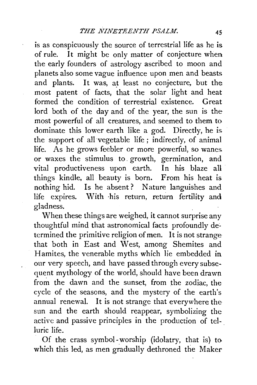is as conspicuously the source of terrestrial life as he is. of rule. It might be only matter of conjecture when the early founders of astrology ascribed to moon and planets also some vague influence upon men and beasts and plants. It was, at least no conjecture, but the most patent of facts, that the solar light and heat formed the condition of terrestrial existence. Great lord both of the day and of the year, the sun is the most powerful of all creatures, and seemed to them to dominate this lower earth like a god. Directly, he is the support of all vegetable life ; indirectly, of animal life. As he grows feebler or more powerful, so wanes. or waxes the stimulus to. growth, germination, and vital productiveness upon earth. In his blaze all things kindle, all beauty is born. From his heat is nothing hid. Is he absent ? Nature languishes and life expires. With ·his return, return fertility and gladness.

When these things are weighed, it cannot surprise any thoughtful mind that astronomical facts profoundly determined the primitive religion of men. It is not strange that both in East and West, among Shemites and Hamites, the venerable myths which lie embedded in our very speech, and have passed through every subsequent mythology of the world, should have been drawn from the dawn and the sunset, from the zodiac, the cycle of the seasons, and the mystery of the earth's annual renewal. It is not strange that everywhere the sun and the earth should reappear, symbolizing the active and passive principles in the production of tel- . luric life.

Of the crass symbol-worship (idolatry, that is) to which this led, as men gradually dethroned the Maker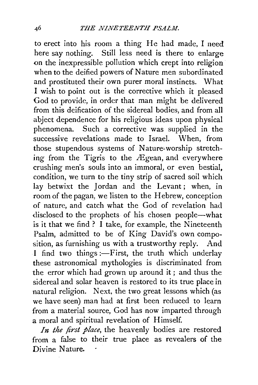to erect into his room a thing He had made, I need here say nothing. Still less need is there to enlarge on the inexpressible pollution which crept into religion when to the deified powers of Nature men subordinated and prostituted their own purer moral instincts. What I wish to point out is the corrective which it pleased God to provide, in order that man might be delivered from this deification of the sidereal bodies, and from all abject dependence for his religious ideas upon physical phenomena. Such a corrective was supplied in the successive revelations made to Israel. When, from those stupendous systems of Nature~worship stretching from the Tigris to the  $A$ Egean, and everywhere crushing men's souls into an immoral, or even bestial, condition, we turn to the tiny strip of sacred soil which lay betwixt the Jordan and the Levant ; when, in room of the pagan, we listen to the Hebrew, conception of nature, and catch what the God of revelation had disclosed to the prophets of his chosen people-what is it that we find ? I take, for example, the Nineteenth Psalm, admitted *to* be of King David's own composition, as furnishing us with a trustworthy reply. And I find two things :- First, the truth which underlay these astronomical mythologies is discriminated from the error which had grown up around it ; and thus the sidereal and solar heaven is restored to its true place in natural religion. Next, the two great lessons which (as we have seen) man had at first been reduced to learn from a material source, God has now imparted through a moral and spiritual revelation of Himself.

*In the first place,* the heavenly bodies are restored from a false to their true place as revealers of the Divine Nature.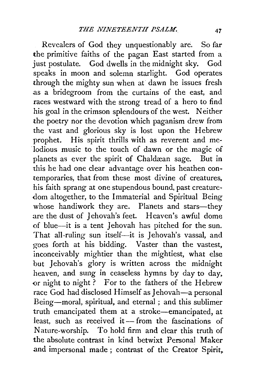Revealers of God they unquestionably are. So far the primitive faiths of the pagan East started from a just postulate. God dwells in the midnight sky. God speaks in moon and solemn starlight. God operates through the mighty sun when at dawn he issues fresh as a bridegroom from the curtains of the east, and races westward with the strong tread of a hero to find his goal in the crimson splendours of the west. Neither the poetry nor the devotion which paganism drew from the vast and glorious sky is lost upon the Hebrew prophet. His spirit thrills with as reverent and melodious music to the touch of dawn or the magic of planets as ever the spirit of Chaldæan sage. But in this he had one clear advantage over his heathen contemporaries, that from these most divine of creatures. his faith sprang at one stupendous bound, past creature dom altogether, to the Immaterial and Spiritual Being whose handiwork they are. Planets and stars-they are the dust of Jehovah's feet. Heaven's awful dome of blue--it is a tent Jehovah has pitched for the sun. That all-ruling sun itself-it is Jehovah's vassal, and goes forth at his bidding. Vaster than the vastest, inconceivably mightier than the mightiest, what else but Jehovah's glory is written across the midnight heaven, and sung in ceaseless hymns by day to day. or night to night? For to the fathers of the Hebrew race God had disclosed Himself as Jehovah-a personal Being-moral, spiritual, and eternal ; and this sublimer truth emancipated them at a stroke-emancipated, at least, such as received it - from the fascinations of Nature-worship. To hold firm and clear this truth of the absolute contrast in kind betwixt Personal Maker and impersonal made; contrast of the Creator Spirit,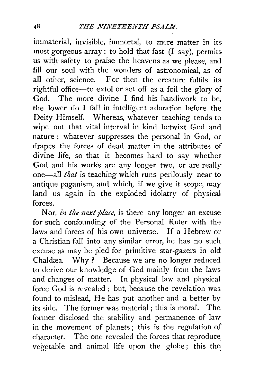immaterial, invisible, immortal, *to* mere matter in its most gorgeous array: to hold that fast (I say), permits us with safety *to* praise the heavens as we please, and fill our soul with the wonders of astronomical, as of all other, science. For then the creature fulfils its rightful office—to extol or set off as a foil the glory of God. The more divine I find his handiwork to be, the lower do I fall in intelligent adoration before the Deity Himself. Whereas, whatever teaching tends to wipe out that vital interval in kind betwixt God and nature ; whatever suppresses the personal in God, or drapes the forces of dead matter in the attributes of divine life, so that it becomes hard *to* say whether God and his works are any longer two, or are really one-all *that* is teaching which runs perilously near to antique paganism, and which, if we give it scope, may land us again in the exploded idolatry of physical forces.

Nor, *in the next place,* is there any longer an excuse for such confounding of the Personal Ruier with the laws and forces of his own universe. If a Hebrew or a Christian fall into any similar error, he has no such excuse as may be pied for primitive star-gazers in old Chaldæa. Why? Because we are no longer reduced to derive our knowledge of God mainly from the laws and changes of matter. In physical law and physical force God is revealed ; but, because the revelation was found to mislead, He has put another and a better by its side. The former was material; this is moral. The former disclosed the stability and permanence of law in the movement of planets ; this is the regulation of character. The one revealed the forces that reproduce vegetable and animal life upon the globe; this the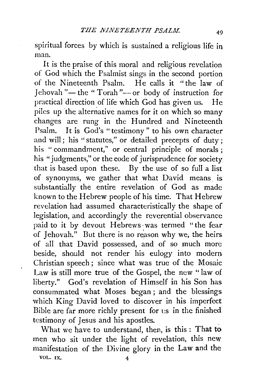spiritual forces by which is sustained a religious life in man.

It is the praise of this moral and religious revelation of God which the Psalmist sings in the second portion of the Nineteenth Psalm. He calls it "the law of Jehovah " $-$  the " Torah " $-$  or body of instruction for practical direction of life which God has given us. He piles up 'the alternative names for it on which so many changes are rung in the Hundred and Nineteenth<br>Psalm. It is God's "testimony" to his own character It is God's "testimony" to his own character and will; his "statutes," or detailed precepts of duty; his " commandment," or central principle of morals; his "judgments," or the code of jurisprudence for society that is based upon these. By the use of so full a list of synonyms, we gather that what David means. is substantially the entire revelation of God as made known to the Hebrew people of his time. That Hebrew revelation had assumed characteristically the shape of legislation, and accordingly the reverential observance paid to it by devout Hebrews was termed "the fear of Jehovah." But there is no reason why we, the heirs of all that David possessed, and of so much more beside, should not render his eulogy into modern Christian speech ; since what was true of the Mosaic Law is still more true of the Gospel, the new " law of liberty." God's revelation of Himself in his Son has consummated what Moses began ; and the blessings which King David loved to discover in his imperfect Bible are far more richly present for us in the finished testimony of Jesus and his apostles. .

What we have to understand, then, is this : That to men who sit under the light of revelation, this new manifestation of the Divine glory in the Law and the VOL. IX.  $4$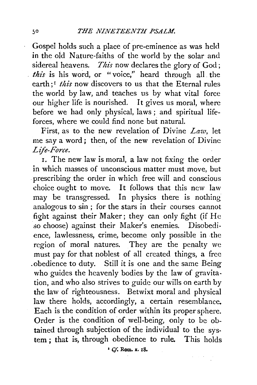Gospel holds such a place of pre-eminence as was held in the old Nature-faiths of the world by the solar and sidereal heavens. *This* now declares the glory of God; *this* is his word, or "voice," heard through all the earth:<sup>*t this* now discovers to us that the Eternal rules</sup> the world by law, and teaches us by what vital force our higher life is nourished. It gives us moral, where before we had only physical, laws; and spiritual lifeforces, where we could find none but natural.

First, as to the new revelation of Divine *Law,* let me say a word; then, of the new revelation of Divine *Life-Force.* 

1. The new law is moral, a law not fixing the order in which masses of unconscious matter must move, but prescribing the order in which free will and conscious choice ought to move. It follows that this new law may be transgressed. In physics there is nothing analogous to sin ; for the stars in their courses cannot fight against their Maker; they can only fight (if He so choose) against their Maker's enemies. Disobedience, lawlessness, crime, become only possible in the region of moral natures. They are the penalty we must pay for that noblest of all created things, a free .obedience to duty. Still it is one and the same Being who guides the heavenly bodies by the law of gravitation, and who also strives to guide our wills on earth by the law of righteousness. Betwixt moral and physical law there holds, accordingly, a certain resemblance. Each is the condition of order within its proper sphere. Order is the condition of well-being, only to be obtained through subjection of the individual to the system ; that is, through obedience to rule. This holds

• *Cf.* Rom. x. 18.

 $\label{eq:2.1} \mathcal{L} = \mathcal{L} \left( \mathcal{H} \right) = \frac{1}{2} \mathcal{L}.$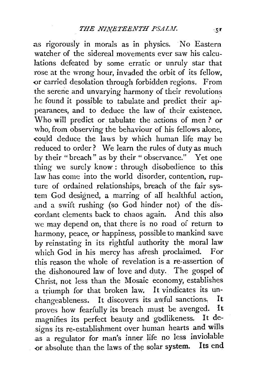as rigorously in morals as in physics. No Eastern watcher of the sidereal movements ever saw his calculations defeated by some erratic or unruly star that rose at the wrong hour, invaded the orbit of its fellow, or carried desolation through forbidden regions. From the serene and unvarying harmony of their revolutions he found it possible to tabulate and predict their appearances, and to deduce the law of their existence. Who will predict or tabulate the actions of men ? or who, from observing the behaviour of his fellows alone, could deduce the laws by which human life may be reduced to order? We learn the rules of duty as much by their "breach" as by their " observance." Yet one thing we surely know: through disobedience to this law has come into the world disorder, contention, rupture of ordained relationships, breach of the fair system God designed, a marring of all healthful action, .and a swift rushing (so God hinder not) of the dis cordant elements back to chaos again. And this also we may depend on, that there is no road of return to harmony, peace, or happiness, possible to mankind save by reinstating in its rightful authority the moral law which God in his mercy has afresh proclaimed. For this reason the whole of revelation is a re-assertion of the dishonoured law of love and duty. The gospel of Christ, not less than the Mosaic economy, establishes a triumph for that broken law. It vindicates its unchangeableness. It discovers its awful sanctions. It<br>proves how fearfully its breach must be avenged. It proves how fearfully its breach must be avenged. It<br>magnifies its perfect beauty and vodlikeness. It demagnifies its perfect beauty and godlikeness. signs its re-establishment over human hearts and wills as a regulator for man's inner life no less inviolable<br>or absolute than the laws of the solar system. Its end or absolute than the laws of the solar system.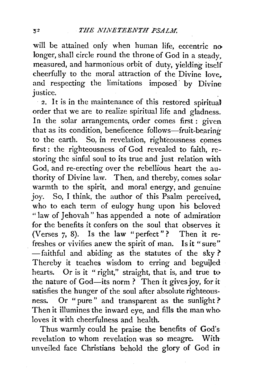will be attained only when human life, eccentric no longer, shall circle round the throne of God in a steady. measured, and harmonious orbit of duty, yielding itself cheerfully to the moral attraction of the Divine love. and respecting the limitations imposed by Divine justice.

2. It is in the maintenance of this restored spiritual order that we are to realize spiritual life and gladness. In the solar arrangements, order comes first : given that as its condition, beneficence follows-fruit-bearing to the earth. So, in revelation, righteousness comes first : the righteousness of God revealed to faith, restoring the sinful soul to its true and just relation with God, and re-erecting over the rebellious heart the authority of Divine law. Then, and thereby, comes solar warmth to the spirit, and moral energy, and genuine joy. So, I think, the author of this Psalm perceived. who to each term of eulogy hung upon his beloved " law of Jehovah" has appended a note of admiration for the benefits it confers on the soul that observes it (Verses 7, 8). Is the law "perfect" ? Then it refreshes or vivifies anew the spirit of man. Is it "sure" - faithful and abiding as the statutes of the sky? Thereby it teaches wisdom to erring and beguiled hearts. Or is it "right," straight, that is, and true to the nature of God-its norm ? Then it gives joy, for it satisfies the hunger of the soul after absolute righteousness. Or "pure" and transparent as the sunlight? Then it illumines the inward eye, and fills the man who· loves it with cheerfulness and health.

Thus warmly could he praise the benefits of God's revelation to whom revelation was so meagre. With unveiled face Christians behold the glory of God in

 $52$